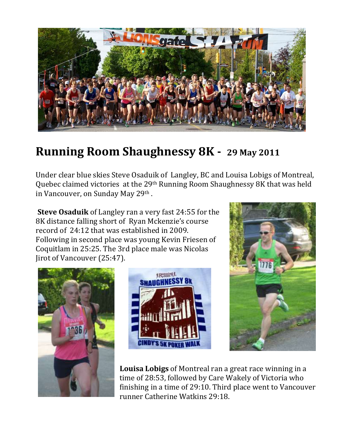

## **Running Room Shaughnessy 8K - 29 May 2011**

Under clear blue skies Steve Osaduik of Langley, BC and Louisa Lobigs of Montreal, Quebec claimed victories at the 29th Running Room Shaughnessy 8K that was held in Vancouver, on Sunday May 29th.

**Steve Osaduik** of Langley ran a very fast 24:55 for the 8K distance falling short of Ryan Mckenzie's course record of 24:12 that was established in 2009. Following in second place was young Kevin Friesen of Coquitlam in 25:25. The 3rd place male was Nicolas Jirot of Vancouver (25:47).







**Louisa Lobigs** of Montreal ran a great race winning in a time of 28:53, followed by Care Wakely of Victoria who finishing in a time of 29:10. Third place went to Vancouver runner Catherine Watkins 29:18.